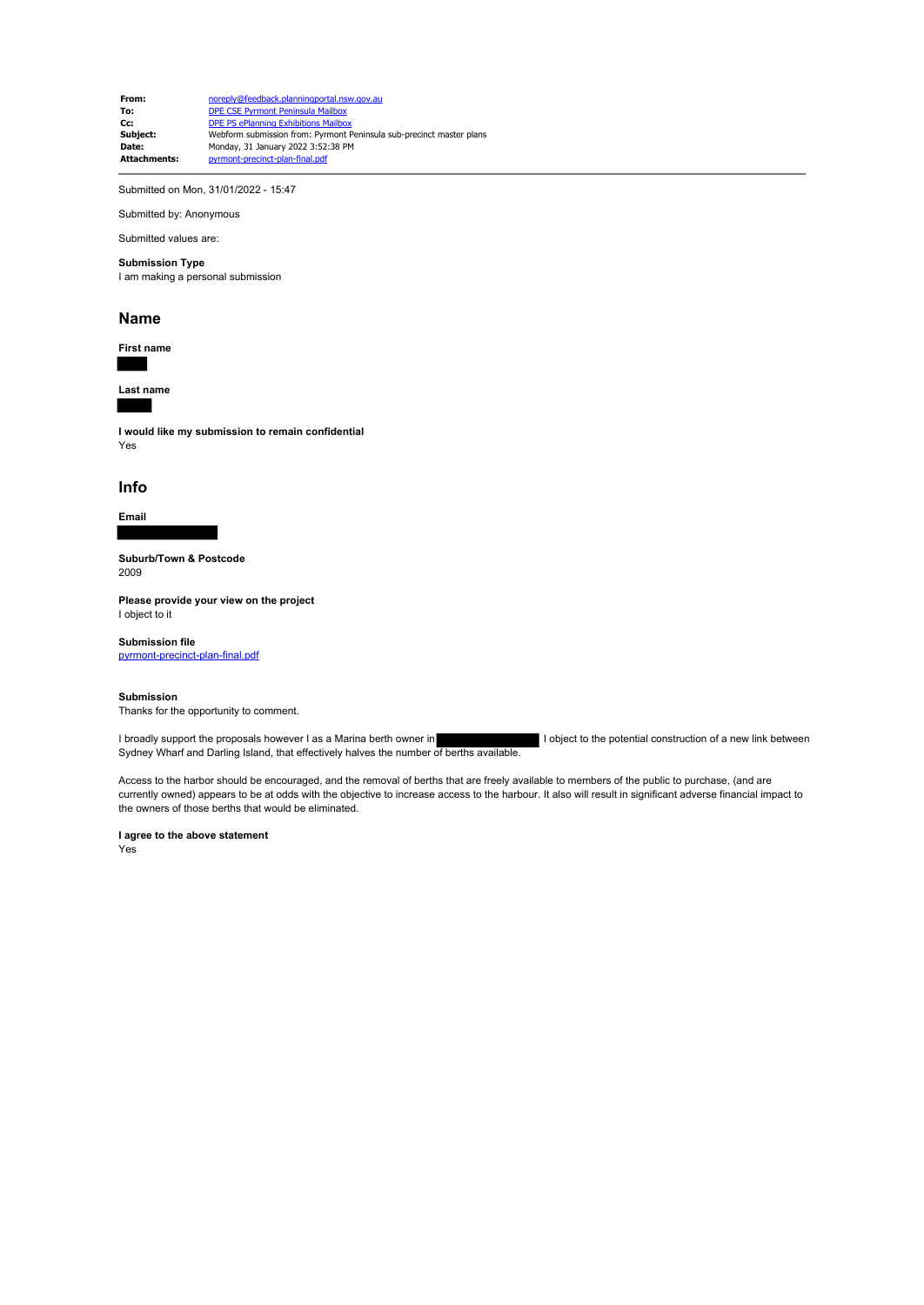**From:** noreply@feedback.planningportal.nsw.gov.au **To:** DPE CSE Pyrmont Peninsula Mailbox **Cc:** DPE PS ePlanning Exhibitions Mailbox<br> **Subject:** Webform submission from: Pyrmont I **Subject:** Webform submission from: Pyrmont Peninsula sub-precinct master plans<br> **Date:** Monday 31 January 2022 3:52:38 PM **Date:** Monday, 31 January 2022 3:52:38 PM<br> **Attachments: Dyrmont-precinct-plan-final.pdf** .<br>**t-precinct-plan-final.pdf** 

Submitted on Mon, 31/01/2022 - 15:47

Submitted by: Anonymous

# Submitted values are:

## **Submission Type**

I am making a personal submission

#### **Name**

**First name**

**Last name**

**I would like my submission to remain confidential** Yes

#### **Info**

**Email**

**Suburb/Town & Postcode** 2009

**Please provide your view on the project** I object to it

### **Submission file**

pyrmont-precinct-plan-final.pdf

#### **Submission**

Thanks for the opportunity to comment.

I broadly support the proposals however I as a Marina berth owner in I object to the potential construction of a new link between Sydney Wharf and Darling Island, that effectively halves the number of berths available.

Access to the harbor should be encouraged, and the removal of berths that are freely available to members of the public to purchase, (and are currently owned) appears to be at odds with the objective to increase access to the harbour. It also will result in significant adverse financial impact to the owners of those berths that would be eliminated.

#### **I agree to the above statement**

Yes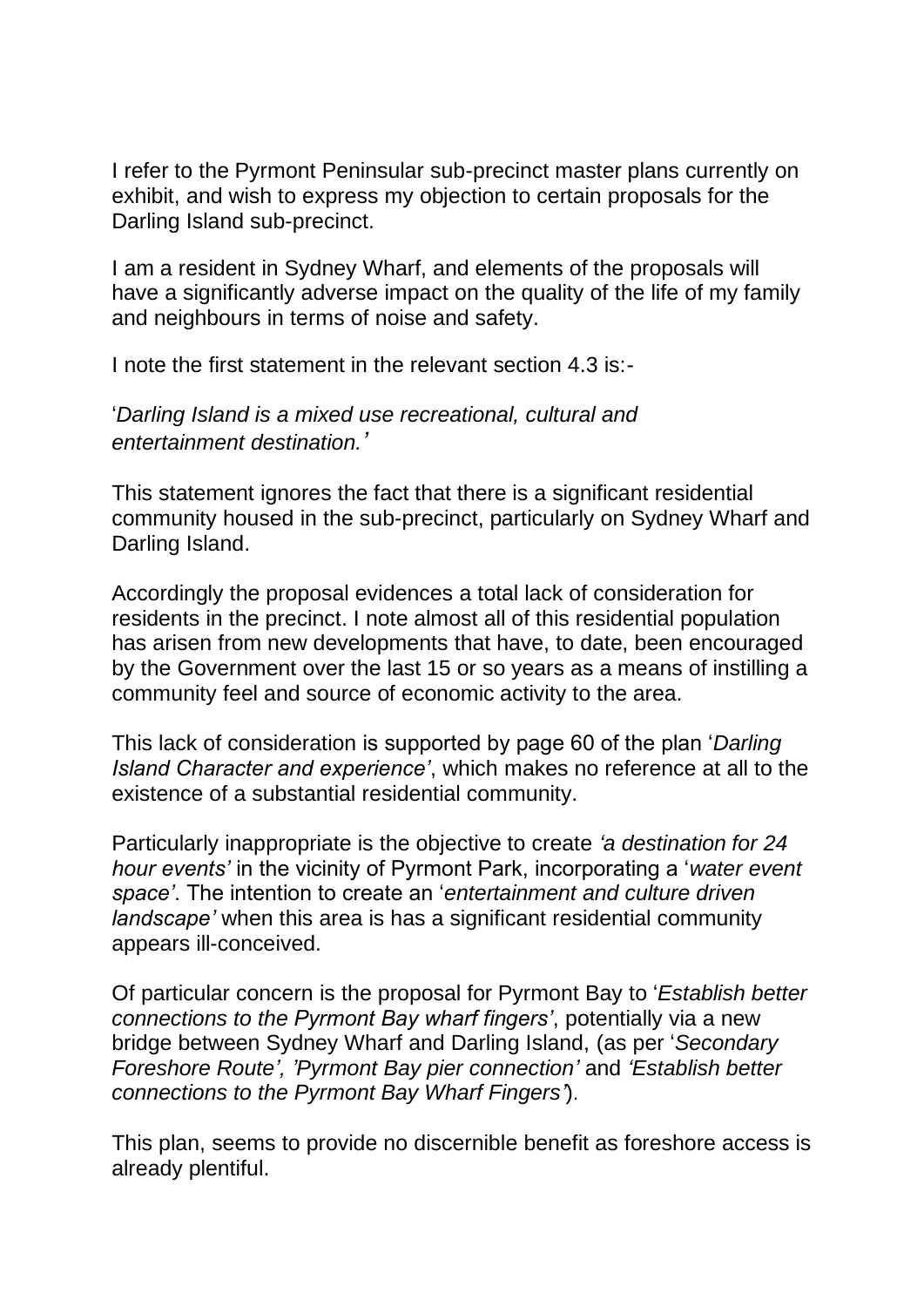I refer to the Pyrmont Peninsular sub-precinct master plans currently on exhibit, and wish to express my objection to certain proposals for the Darling Island sub-precinct.

I am a resident in Sydney Wharf, and elements of the proposals will have a significantly adverse impact on the quality of the life of my family and neighbours in terms of noise and safety.

I note the first statement in the relevant section 4.3 is:-

'*Darling Island is a mixed use recreational, cultural and entertainment destination.'*

This statement ignores the fact that there is a significant residential community housed in the sub-precinct, particularly on Sydney Wharf and Darling Island.

Accordingly the proposal evidences a total lack of consideration for residents in the precinct. I note almost all of this residential population has arisen from new developments that have, to date, been encouraged by the Government over the last 15 or so years as a means of instilling a community feel and source of economic activity to the area.

This lack of consideration is supported by page 60 of the plan '*Darling Island Character and experience'*, which makes no reference at all to the existence of a substantial residential community.

Particularly inappropriate is the objective to create *'a destination for 24 hour events'* in the vicinity of Pyrmont Park, incorporating a '*water event space'*. The intention to create an '*entertainment and culture driven landscape'* when this area is has a significant residential community appears ill-conceived.

Of particular concern is the proposal for Pyrmont Bay to '*Establish better connections to the Pyrmont Bay wharf fingers'*, potentially via a new bridge between Sydney Wharf and Darling Island, (as per '*Secondary Foreshore Route', 'Pyrmont Bay pier connection'* and *'Establish better connections to the Pyrmont Bay Wharf Fingers'*).

This plan, seems to provide no discernible benefit as foreshore access is already plentiful.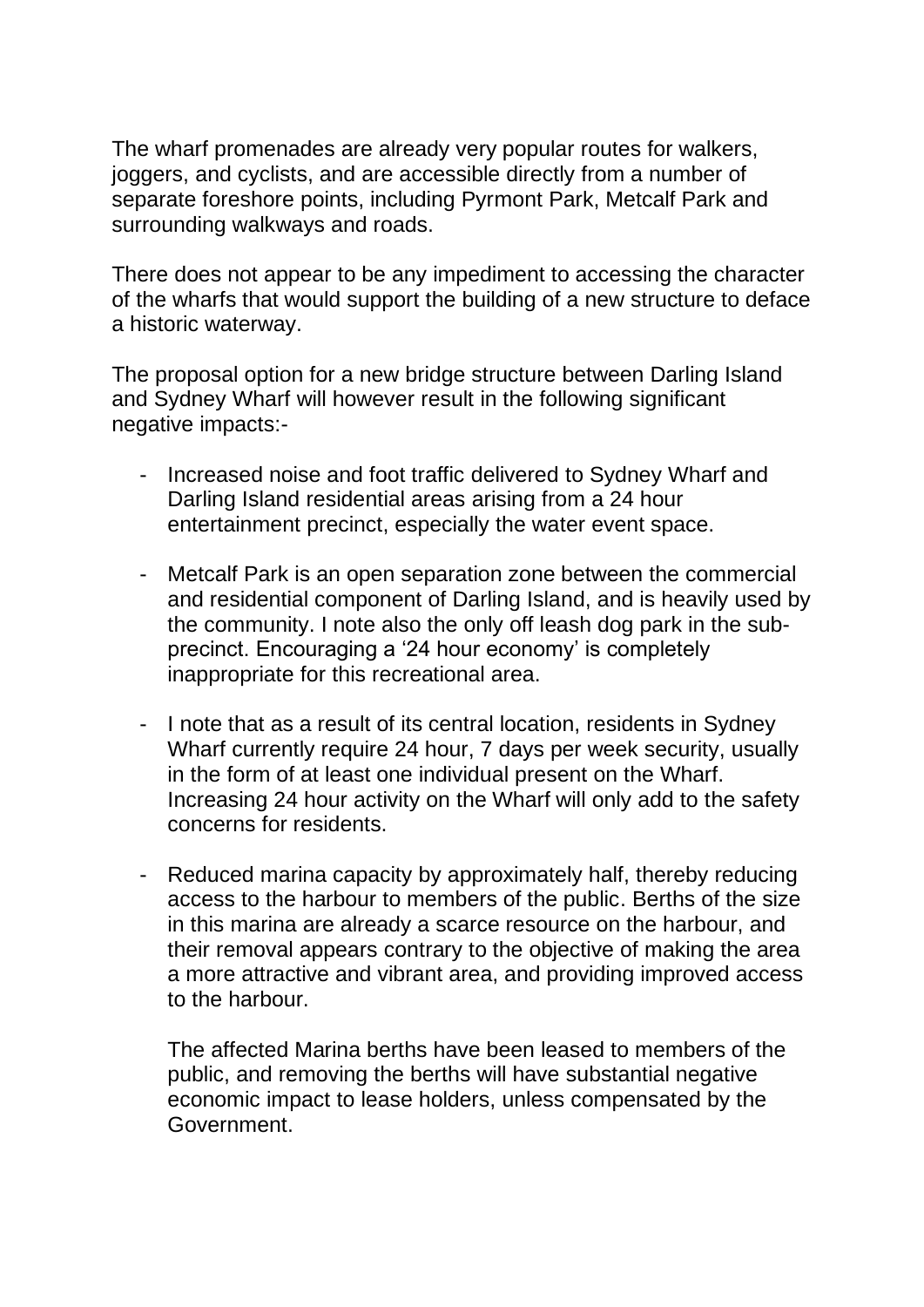The wharf promenades are already very popular routes for walkers, joggers, and cyclists, and are accessible directly from a number of separate foreshore points, including Pyrmont Park, Metcalf Park and surrounding walkways and roads.

There does not appear to be any impediment to accessing the character of the wharfs that would support the building of a new structure to deface a historic waterway.

The proposal option for a new bridge structure between Darling Island and Sydney Wharf will however result in the following significant negative impacts:-

- Increased noise and foot traffic delivered to Sydney Wharf and Darling Island residential areas arising from a 24 hour entertainment precinct, especially the water event space.
- Metcalf Park is an open separation zone between the commercial and residential component of Darling Island, and is heavily used by the community. I note also the only off leash dog park in the subprecinct. Encouraging a '24 hour economy' is completely inappropriate for this recreational area.
- I note that as a result of its central location, residents in Sydney Wharf currently require 24 hour, 7 days per week security, usually in the form of at least one individual present on the Wharf. Increasing 24 hour activity on the Wharf will only add to the safety concerns for residents.
- Reduced marina capacity by approximately half, thereby reducing access to the harbour to members of the public. Berths of the size in this marina are already a scarce resource on the harbour, and their removal appears contrary to the objective of making the area a more attractive and vibrant area, and providing improved access to the harbour.

The affected Marina berths have been leased to members of the public, and removing the berths will have substantial negative economic impact to lease holders, unless compensated by the Government.